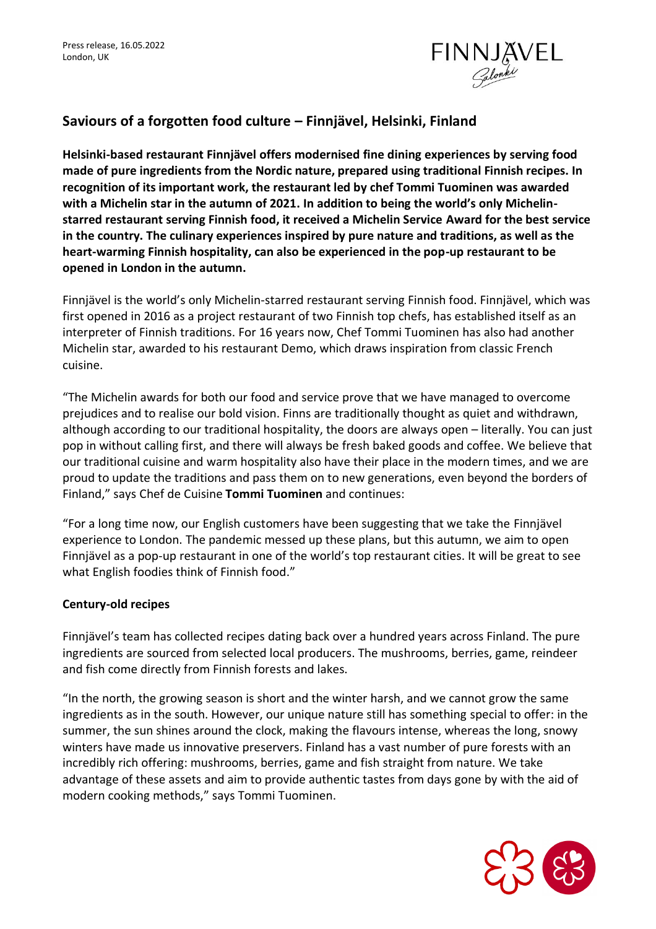

## **Saviours of a forgotten food culture – Finnjävel, Helsinki, Finland**

**Helsinki-based restaurant Finnjävel offers modernised fine dining experiences by serving food made of pure ingredients from the Nordic nature, prepared using traditional Finnish recipes. In recognition of its important work, the restaurant led by chef Tommi Tuominen was awarded with a Michelin star in the autumn of 2021. In addition to being the world's only Michelinstarred restaurant serving Finnish food, it received a Michelin Service Award for the best service in the country. The culinary experiences inspired by pure nature and traditions, as well as the heart-warming Finnish hospitality, can also be experienced in the pop-up restaurant to be opened in London in the autumn.**

Finnjävel is the world's only Michelin-starred restaurant serving Finnish food. Finnjävel, which was first opened in 2016 as a project restaurant of two Finnish top chefs, has established itself as an interpreter of Finnish traditions. For 16 years now, Chef Tommi Tuominen has also had another Michelin star, awarded to his restaurant Demo, which draws inspiration from classic French cuisine.

"The Michelin awards for both our food and service prove that we have managed to overcome prejudices and to realise our bold vision. Finns are traditionally thought as quiet and withdrawn, although according to our traditional hospitality, the doors are always open – literally. You can just pop in without calling first, and there will always be fresh baked goods and coffee. We believe that our traditional cuisine and warm hospitality also have their place in the modern times, and we are proud to update the traditions and pass them on to new generations, even beyond the borders of Finland," says Chef de Cuisine **Tommi Tuominen** and continues:

"For a long time now, our English customers have been suggesting that we take the Finnjävel experience to London. The pandemic messed up these plans, but this autumn, we aim to open Finnjävel as a pop-up restaurant in one of the world's top restaurant cities. It will be great to see what English foodies think of Finnish food."

## **Century-old recipes**

Finnjävel's team has collected recipes dating back over a hundred years across Finland. The pure ingredients are sourced from selected local producers. The mushrooms, berries, game, reindeer and fish come directly from Finnish forests and lakes.

"In the north, the growing season is short and the winter harsh, and we cannot grow the same ingredients as in the south. However, our unique nature still has something special to offer: in the summer, the sun shines around the clock, making the flavours intense, whereas the long, snowy winters have made us innovative preservers. Finland has a vast number of pure forests with an incredibly rich offering: mushrooms, berries, game and fish straight from nature. We take advantage of these assets and aim to provide authentic tastes from days gone by with the aid of modern cooking methods," says Tommi Tuominen.